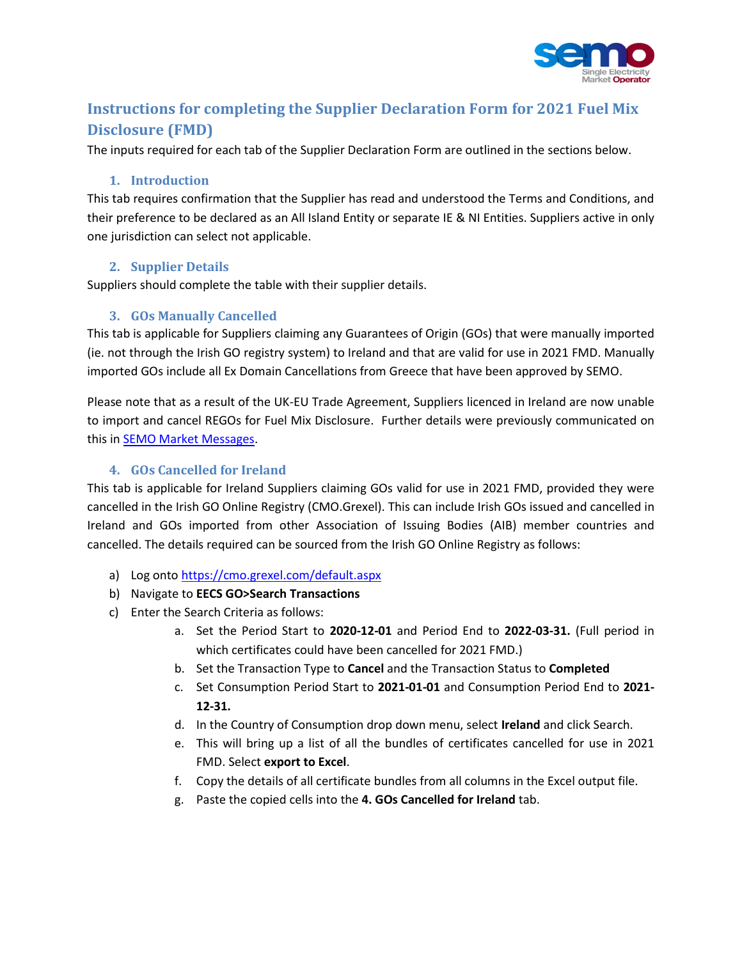

# **Instructions for completing the Supplier Declaration Form for 2021 Fuel Mix Disclosure (FMD)**

The inputs required for each tab of the Supplier Declaration Form are outlined in the sections below.

### **1. Introduction**

This tab requires confirmation that the Supplier has read and understood the Terms and Conditions, and their preference to be declared as an All Island Entity or separate IE & NI Entities. Suppliers active in only one jurisdiction can select not applicable.

### **2. Supplier Details**

Suppliers should complete the table with their supplier details.

## **3. GOs Manually Cancelled**

This tab is applicable for Suppliers claiming any Guarantees of Origin (GOs) that were manually imported (ie. not through the Irish GO registry system) to Ireland and that are valid for use in 2021 FMD. Manually imported GOs include all Ex Domain Cancellations from Greece that have been approved by SEMO.

Please note that as a result of the UK-EU Trade Agreement, Suppliers licenced in Ireland are now unable to import and cancel REGOs for Fuel Mix Disclosure. Further details were previously communicated on this i[n SEMO Market Messages.](https://www.sem-o.com/market-messages/message/index.xml?message=3026)

### **4. GOs Cancelled for Ireland**

This tab is applicable for Ireland Suppliers claiming GOs valid for use in 2021 FMD, provided they were cancelled in the Irish GO Online Registry (CMO.Grexel). This can include Irish GOs issued and cancelled in Ireland and GOs imported from other Association of Issuing Bodies (AIB) member countries and cancelled. The details required can be sourced from the Irish GO Online Registry as follows:

- a) Log ont[o https://cmo.grexel.com/default.aspx](https://cmo.grexel.com/default.aspx)
- b) Navigate to **EECS GO>Search Transactions**
- c) Enter the Search Criteria as follows:
	- a. Set the Period Start to **2020-12-01** and Period End to **2022-03-31.** (Full period in which certificates could have been cancelled for 2021 FMD.)
	- b. Set the Transaction Type to **Cancel** and the Transaction Status to **Completed**
	- c. Set Consumption Period Start to **2021-01-01** and Consumption Period End to **2021- 12-31.**
	- d. In the Country of Consumption drop down menu, select **Ireland** and click Search.
	- e. This will bring up a list of all the bundles of certificates cancelled for use in 2021 FMD. Select **export to Excel**.
	- f. Copy the details of all certificate bundles from all columns in the Excel output file.
	- g. Paste the copied cells into the **4. GOs Cancelled for Ireland** tab.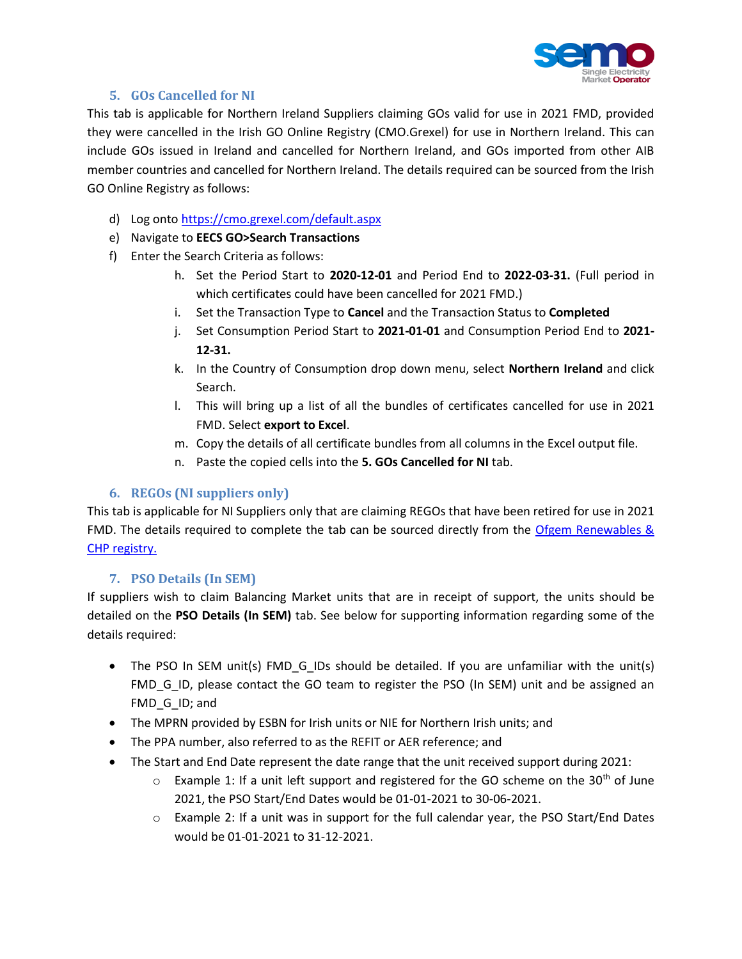

### **5. GOs Cancelled for NI**

This tab is applicable for Northern Ireland Suppliers claiming GOs valid for use in 2021 FMD, provided they were cancelled in the Irish GO Online Registry (CMO.Grexel) for use in Northern Ireland. This can include GOs issued in Ireland and cancelled for Northern Ireland, and GOs imported from other AIB member countries and cancelled for Northern Ireland. The details required can be sourced from the Irish GO Online Registry as follows:

- d) Log ont[o https://cmo.grexel.com/default.aspx](https://cmo.grexel.com/default.aspx)
- e) Navigate to **EECS GO>Search Transactions**
- f) Enter the Search Criteria as follows:
	- h. Set the Period Start to **2020-12-01** and Period End to **2022-03-31.** (Full period in which certificates could have been cancelled for 2021 FMD.)
	- i. Set the Transaction Type to **Cancel** and the Transaction Status to **Completed**
	- j. Set Consumption Period Start to **2021-01-01** and Consumption Period End to **2021- 12-31.**
	- k. In the Country of Consumption drop down menu, select **Northern Ireland** and click Search.
	- l. This will bring up a list of all the bundles of certificates cancelled for use in 2021 FMD. Select **export to Excel**.
	- m. Copy the details of all certificate bundles from all columns in the Excel output file.
	- n. Paste the copied cells into the **5. GOs Cancelled for NI** tab.

### **6. REGOs (NI suppliers only)**

This tab is applicable for NI Suppliers only that are claiming REGOs that have been retired for use in 2021 FMD. The details required to complete the tab can be sourced directly from the [Ofgem Renewables &](https://www.renewablesandchp.ofgem.gov.uk/)  [CHP registry.](https://www.renewablesandchp.ofgem.gov.uk/)

### **7. PSO Details (In SEM)**

If suppliers wish to claim Balancing Market units that are in receipt of support, the units should be detailed on the **PSO Details (In SEM)** tab. See below for supporting information regarding some of the details required:

- The PSO In SEM unit(s) FMD\_G\_IDs should be detailed. If you are unfamiliar with the unit(s) FMD\_G\_ID, please contact the GO team to register the PSO (In SEM) unit and be assigned an FMD\_G\_ID; and
- The MPRN provided by ESBN for Irish units or NIE for Northern Irish units; and
- The PPA number, also referred to as the REFIT or AER reference; and
- The Start and End Date represent the date range that the unit received support during 2021:
	- $\circ$  Example 1: If a unit left support and registered for the GO scheme on the 30<sup>th</sup> of June 2021, the PSO Start/End Dates would be 01-01-2021 to 30-06-2021.
	- $\circ$  Example 2: If a unit was in support for the full calendar year, the PSO Start/End Dates would be 01-01-2021 to 31-12-2021.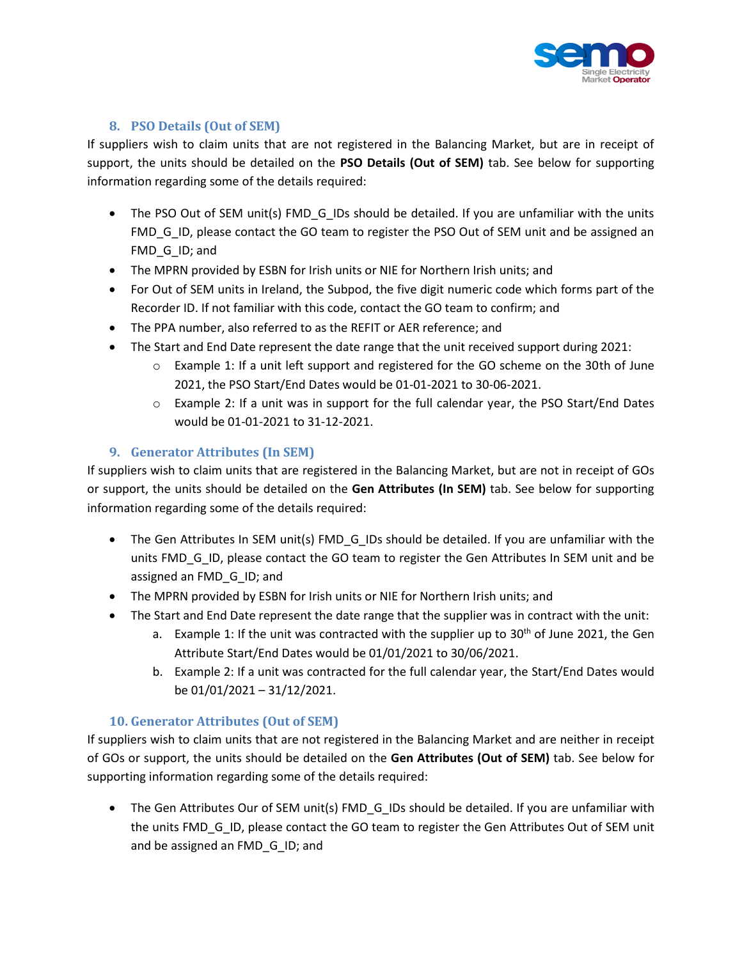

## **8. PSO Details (Out of SEM)**

If suppliers wish to claim units that are not registered in the Balancing Market, but are in receipt of support, the units should be detailed on the **PSO Details (Out of SEM)** tab. See below for supporting information regarding some of the details required:

- The PSO Out of SEM unit(s) FMD\_G\_IDs should be detailed. If you are unfamiliar with the units FMD\_G\_ID, please contact the GO team to register the PSO Out of SEM unit and be assigned an FMD G ID; and
- The MPRN provided by ESBN for Irish units or NIE for Northern Irish units; and
- For Out of SEM units in Ireland, the Subpod, the five digit numeric code which forms part of the Recorder ID. If not familiar with this code, contact the GO team to confirm; and
- The PPA number, also referred to as the REFIT or AER reference; and
- The Start and End Date represent the date range that the unit received support during 2021:
	- $\circ$  Example 1: If a unit left support and registered for the GO scheme on the 30th of June 2021, the PSO Start/End Dates would be 01-01-2021 to 30-06-2021.
	- o Example 2: If a unit was in support for the full calendar year, the PSO Start/End Dates would be 01-01-2021 to 31-12-2021.

### **9. Generator Attributes (In SEM)**

If suppliers wish to claim units that are registered in the Balancing Market, but are not in receipt of GOs or support, the units should be detailed on the **Gen Attributes (In SEM)** tab. See below for supporting information regarding some of the details required:

- The Gen Attributes In SEM unit(s) FMD\_G\_IDs should be detailed. If you are unfamiliar with the units FMD G ID, please contact the GO team to register the Gen Attributes In SEM unit and be assigned an FMD\_G\_ID; and
- The MPRN provided by ESBN for Irish units or NIE for Northern Irish units; and
- The Start and End Date represent the date range that the supplier was in contract with the unit:
	- a. Example 1: If the unit was contracted with the supplier up to  $30<sup>th</sup>$  of June 2021, the Gen Attribute Start/End Dates would be 01/01/2021 to 30/06/2021.
	- b. Example 2: If a unit was contracted for the full calendar year, the Start/End Dates would be 01/01/2021 – 31/12/2021.

### **10. Generator Attributes (Out of SEM)**

If suppliers wish to claim units that are not registered in the Balancing Market and are neither in receipt of GOs or support, the units should be detailed on the **Gen Attributes (Out of SEM)** tab. See below for supporting information regarding some of the details required:

• The Gen Attributes Our of SEM unit(s) FMD\_G\_IDs should be detailed. If you are unfamiliar with the units FMD G ID, please contact the GO team to register the Gen Attributes Out of SEM unit and be assigned an FMD\_G\_ID; and